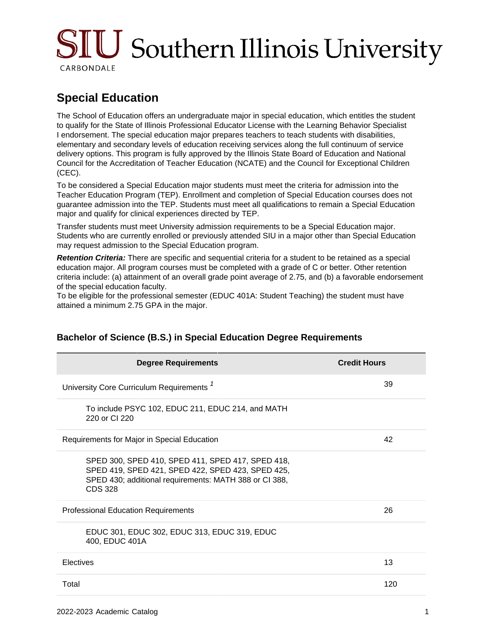# SIU Southern Illinois University CARBONDALE

# **Special Education**

The School of Education offers an undergraduate major in special education, which entitles the student to qualify for the State of Illinois Professional Educator License with the Learning Behavior Specialist I endorsement. The special education major prepares teachers to teach students with disabilities, elementary and secondary levels of education receiving services along the full continuum of service delivery options. This program is fully approved by the Illinois State Board of Education and National Council for the Accreditation of Teacher Education (NCATE) and the Council for Exceptional Children (CEC).

To be considered a Special Education major students must meet the criteria for admission into the Teacher Education Program (TEP). Enrollment and completion of Special Education courses does not guarantee admission into the TEP. Students must meet all qualifications to remain a Special Education major and qualify for clinical experiences directed by TEP.

Transfer students must meet University admission requirements to be a Special Education major. Students who are currently enrolled or previously attended SIU in a major other than Special Education may request admission to the Special Education program.

**Retention Criteria:** There are specific and sequential criteria for a student to be retained as a special education major. All program courses must be completed with a grade of C or better. Other retention criteria include: (a) attainment of an overall grade point average of 2.75, and (b) a favorable endorsement of the special education faculty.

To be eligible for the professional semester (EDUC 401A: Student Teaching) the student must have attained a minimum 2.75 GPA in the major.

| <b>Degree Requirements</b>                                                                                                                                                         | <b>Credit Hours</b> |
|------------------------------------------------------------------------------------------------------------------------------------------------------------------------------------|---------------------|
| University Core Curriculum Requirements <sup>1</sup>                                                                                                                               | 39                  |
| To include PSYC 102, EDUC 211, EDUC 214, and MATH<br>220 or CI 220                                                                                                                 |                     |
| Requirements for Major in Special Education                                                                                                                                        | 42                  |
| SPED 300, SPED 410, SPED 411, SPED 417, SPED 418,<br>SPED 419, SPED 421, SPED 422, SPED 423, SPED 425,<br>SPED 430; additional requirements: MATH 388 or CI 388,<br><b>CDS 328</b> |                     |
| <b>Professional Education Requirements</b>                                                                                                                                         | 26                  |
| EDUC 301, EDUC 302, EDUC 313, EDUC 319, EDUC<br>400, EDUC 401A                                                                                                                     |                     |
| Electives                                                                                                                                                                          | 13                  |
| Total                                                                                                                                                                              | 120                 |

## **Bachelor of Science (B.S.) in Special Education Degree Requirements**